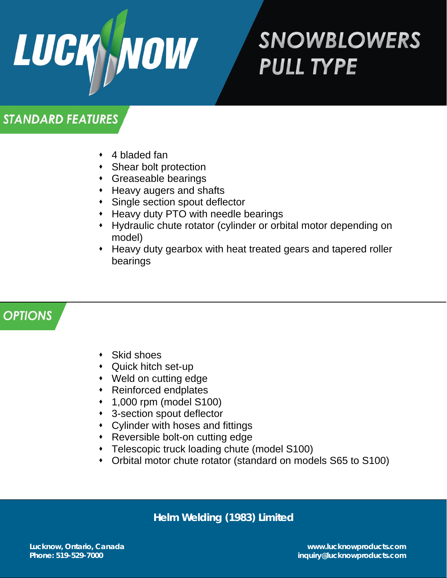

# **SNOWBLOWERS PULL TYPE**

## **STANDARD FEATURES**

- 4 bladed fan
- Shear bolt protection
- Greaseable bearings
- Heavy augers and shafts
- Single section spout deflector
- Heavy duty PTO with needle bearings
- Hydraulic chute rotator (cylinder or orbital motor depending on model)
- Heavy duty gearbox with heat treated gears and tapered roller bearings

## **OPTIONS**

- Skid shoes
- Quick hitch set-up
- Weld on cutting edge
- Reinforced endplates
- 1,000 rpm (model S100)
- 3-section spout deflector
- Cylinder with hoses and fittings
- Reversible bolt-on cutting edge
- Telescopic truck loading chute (model S100)
- Orbital motor chute rotator (standard on models S65 to S100)

### **Helm Welding (1983) Limited**